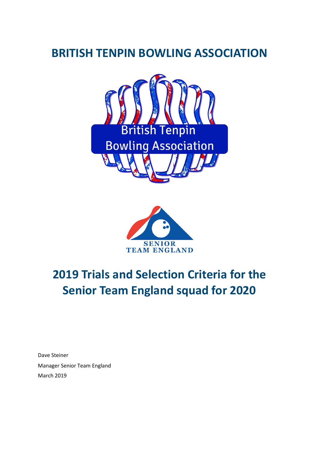# **BRITISH TENPIN BOWLING ASSOCIATION**





# **2019 Trials and Selection Criteria for the Senior Team England squad for 2020**

Dave Steiner Manager Senior Team England March 2019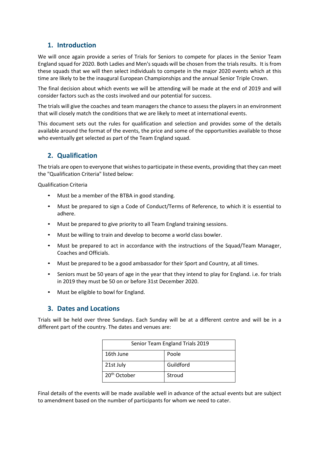#### **1. Introduction**

We will once again provide a series of Trials for Seniors to compete for places in the Senior Team England squad for 2020. Both Ladies and Men's squads will be chosen from the trials results. It is from these squads that we will then select individuals to compete in the major 2020 events which at this time are likely to be the inaugural European Championships and the annual Senior Triple Crown.

The final decision about which events we will be attending will be made at the end of 2019 and will consider factors such as the costs involved and our potential for success.

The trials will give the coaches and team managers the chance to assess the players in an environment that will closely match the conditions that we are likely to meet at international events.

This document sets out the rules for qualification and selection and provides some of the details available around the format of the events, the price and some of the opportunities available to those who eventually get selected as part of the Team England squad.

# **2. Qualification**

The trials are open to everyone that wishes to participate in these events, providing that they can meet the "Qualification Criteria" listed below:

Qualification Criteria

- Must be a member of the BTBA in good standing.
- Must be prepared to sign a Code of Conduct/Terms of Reference, to which it is essential to adhere.
- Must be prepared to give priority to all Team England training sessions.
- Must be willing to train and develop to become a world class bowler.
- Must be prepared to act in accordance with the instructions of the Squad/Team Manager, Coaches and Officials.
- Must be prepared to be a good ambassador for their Sport and Country, at all times.
- Seniors must be 50 years of age in the year that they intend to play for England. i.e. for trials in 2019 they must be 50 on or before 31st December 2020.
- Must be eligible to bowl for England.

#### **3. Dates and Locations**

Trials will be held over three Sundays. Each Sunday will be at a different centre and will be in a different part of the country. The dates and venues are:

| Senior Team England Trials 2019 |           |  |
|---------------------------------|-----------|--|
| 16th June                       | Poole     |  |
| 21st July                       | Guildford |  |
| 20 <sup>th</sup> October        | Stroud    |  |

Final details of the events will be made available well in advance of the actual events but are subject to amendment based on the number of participants for whom we need to cater.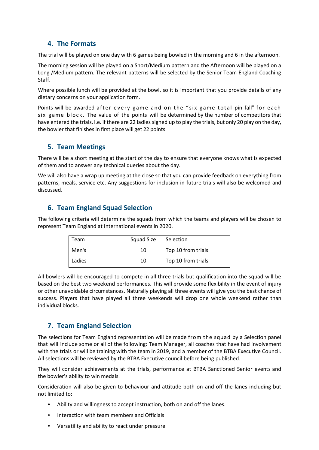#### **4. The Formats**

The trial will be played on one day with 6 games being bowled in the morning and 6 in the afternoon.

The morning session will be played on a Short/Medium pattern and the Afternoon will be played on a Long /Medium pattern. The relevant patterns will be selected by the Senior Team England Coaching Staff.

Where possible lunch will be provided at the bowl, so it is important that you provide details of any dietary concerns on your application form.

Points will be awarded after every game and on the "six game total pin fall" for each six game block. The value of the points will be determined by the number of competitors that have entered the trials. i.e. if there are 22 ladies signed up to play the trials, but only 20 play on the day, the bowler that finishes in first place will get 22 points.

#### **5. Team Meetings**

There will be a short meeting at the start of the day to ensure that everyone knows what is expected of them and to answer any technical queries about the day.

We will also have a wrap up meeting at the close so that you can provide feedback on everything from patterns, meals, service etc. Any suggestions for inclusion in future trials will also be welcomed and discussed.

### **6. Team England Squad Selection**

The following criteria will determine the squads from which the teams and players will be chosen to represent Team England at International events in 2020.

| Team   | Squad Size | Selection           |
|--------|------------|---------------------|
| Men's  | 10         | Top 10 from trials. |
| Ladies | 10         | Top 10 from trials. |

All bowlers will be encouraged to compete in all three trials but qualification into the squad will be based on the best two weekend performances. This will provide some flexibility in the event of injury or other unavoidable circumstances. Naturally playing all three events will give you the best chance of success. Players that have played all three weekends will drop one whole weekend rather than individual blocks.

# **7. Team England Selection**

The selections for Team England representation will be made from the squad by a Selection panel that will include some or all of the following: Team Manager, all coaches that have had involvement with the trials or will be training with the team in 2019, and a member of the BTBA Executive Council. All selections will be reviewed by the BTBA Executive council before being published.

They will consider achievements at the trials, performance at BTBA Sanctioned Senior events and the bowler's ability to win medals.

Consideration will also be given to behaviour and attitude both on and off the lanes including but not limited to:

- Ability and willingness to accept instruction, both on and off the lanes.
- Interaction with team members and Officials
- Versatility and ability to react under pressure